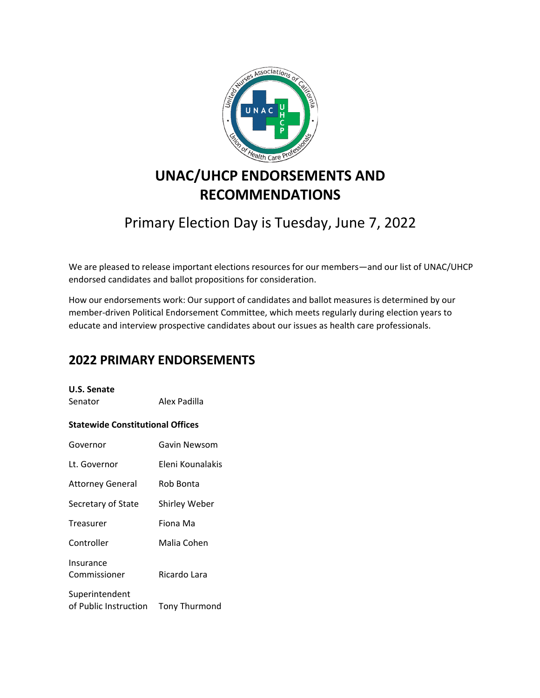

# **UNAC/UHCP ENDORSEMENTS AND RECOMMENDATIONS**

## Primary Election Day is Tuesday, June 7, 2022

We are pleased to release important elections resources for our members—and our list of UNAC/UHCP endorsed candidates and ballot propositions for consideration.

How our endorsements work: Our support of candidates and ballot measures is determined by our member‐driven Political Endorsement Committee, which meets regularly during election years to educate and interview prospective candidates about our issues as health care professionals.

## **2022 PRIMARY ENDORSEMENTS**

### **U.S. Senate**

Senator **Alex Padilla** 

### **Statewide Constitutional Offices**

| Governor                                | Gavin Newsom         |
|-----------------------------------------|----------------------|
| Lt. Governor                            | Eleni Kounalakis     |
| <b>Attorney General</b>                 | Rob Bonta            |
| Secretary of State                      | <b>Shirley Weber</b> |
| Treasurer                               | Fiona Ma             |
| Controller                              | Malia Cohen          |
| Insurance<br>Commissioner               | Ricardo Lara         |
| Superintendent<br>of Public Instruction | <b>Tony Thurmond</b> |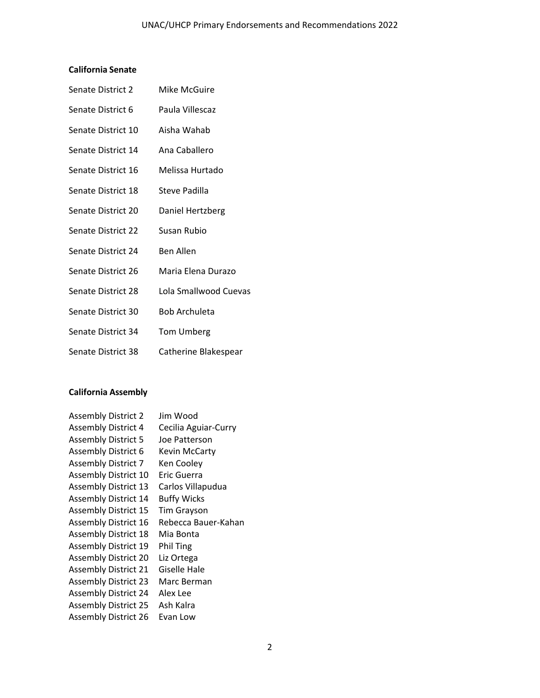## **California Senate**

| Senate District 2  | Mike McGuire          |
|--------------------|-----------------------|
| Senate District 6  | Paula Villescaz       |
| Senate District 10 | Aisha Wahab           |
| Senate District 14 | Ana Caballero         |
| Senate District 16 | Melissa Hurtado       |
| Senate District 18 | Steve Padilla         |
| Senate District 20 | Daniel Hertzberg      |
| Senate District 22 | Susan Rubio           |
| Senate District 24 | <b>Ben Allen</b>      |
| Senate District 26 | Maria Elena Durazo    |
| Senate District 28 | Lola Smallwood Cuevas |
| Senate District 30 | <b>Bob Archuleta</b>  |
| Senate District 34 | <b>Tom Umberg</b>     |
| Senate District 38 | Catherine Blakespear  |

## **California Assembly**

| <b>Assembly District 2</b>  | Jim Wood             |
|-----------------------------|----------------------|
| <b>Assembly District 4</b>  | Cecilia Aguiar-Curry |
| <b>Assembly District 5</b>  | Joe Patterson        |
| <b>Assembly District 6</b>  | Kevin McCarty        |
| <b>Assembly District 7</b>  | Ken Cooley           |
| Assembly District 10        | Eric Guerra          |
| <b>Assembly District 13</b> | Carlos Villapudua    |
| <b>Assembly District 14</b> | <b>Buffy Wicks</b>   |
| <b>Assembly District 15</b> | <b>Tim Grayson</b>   |
| <b>Assembly District 16</b> | Rebecca Bauer-Kahan  |
| <b>Assembly District 18</b> | Mia Bonta            |
| <b>Assembly District 19</b> | <b>Phil Ting</b>     |
| <b>Assembly District 20</b> | Liz Ortega           |
| <b>Assembly District 21</b> | Giselle Hale         |
| <b>Assembly District 23</b> | Marc Berman          |
| <b>Assembly District 24</b> | Alex Lee             |
| <b>Assembly District 25</b> | Ash Kalra            |
| <b>Assembly District 26</b> | Evan Low             |
|                             |                      |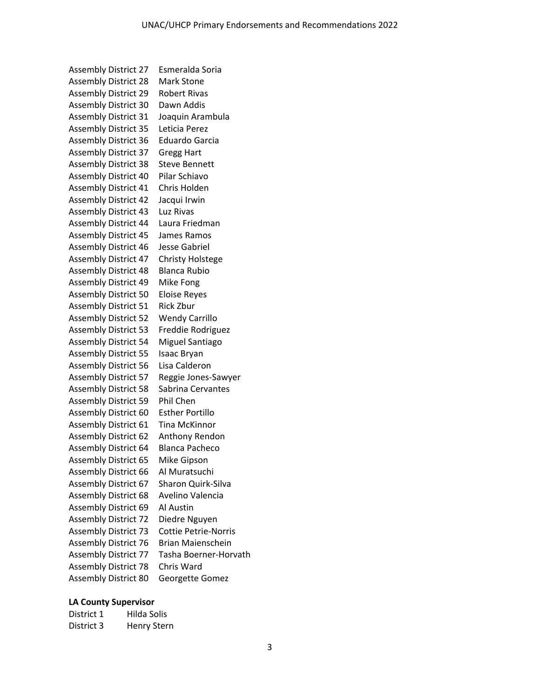Assembly District 27 Esmeralda Soria Assembly District 28 Mark Stone Assembly District 29 Robert Rivas Assembly District 30 Dawn Addis Assembly District 31 Joaquin Arambula Assembly District 35 Leticia Perez Assembly District 36 Eduardo Garcia Assembly District 37 Gregg Hart Assembly District 38 Steve Bennett Assembly District 40 Pilar Schiavo Assembly District 41 Chris Holden Assembly District 42 Jacqui Irwin Assembly District 43 Luz Rivas Assembly District 44 Laura Friedman Assembly District 45 James Ramos Assembly District 46 Jesse Gabriel Assembly District 47 Christy Holstege Assembly District 48 Blanca Rubio Assembly District 49 Mike Fong Assembly District 50 Eloise Reyes Assembly District 51 Rick Zbur Assembly District 52 Wendy Carrillo Assembly District 53 Freddie Rodriguez Assembly District 54 Miguel Santiago Assembly District 55 Isaac Bryan Assembly District 56 Lisa Calderon Assembly District 57 Reggie Jones‐Sawyer Assembly District 58 Sabrina Cervantes Assembly District 59 Phil Chen Assembly District 60 Esther Portillo Assembly District 61 Tina McKinnor Assembly District 62 Anthony Rendon Assembly District 64 Blanca Pacheco Assembly District 65 Mike Gipson Assembly District 66 Al Muratsuchi Assembly District 67 Sharon Quirk‐Silva Assembly District 68 Avelino Valencia Assembly District 69 Al Austin Assembly District 72 Diedre Nguyen Assembly District 73 Cottie Petrie‐Norris Assembly District 76 Brian Maienschein Assembly District 77 Tasha Boerner‐Horvath Assembly District 78 Chris Ward Assembly District 80 Georgette Gomez

#### **LA County Supervisor**

| District 1 | Hilda Solis |
|------------|-------------|
| District 3 | Henry Stern |